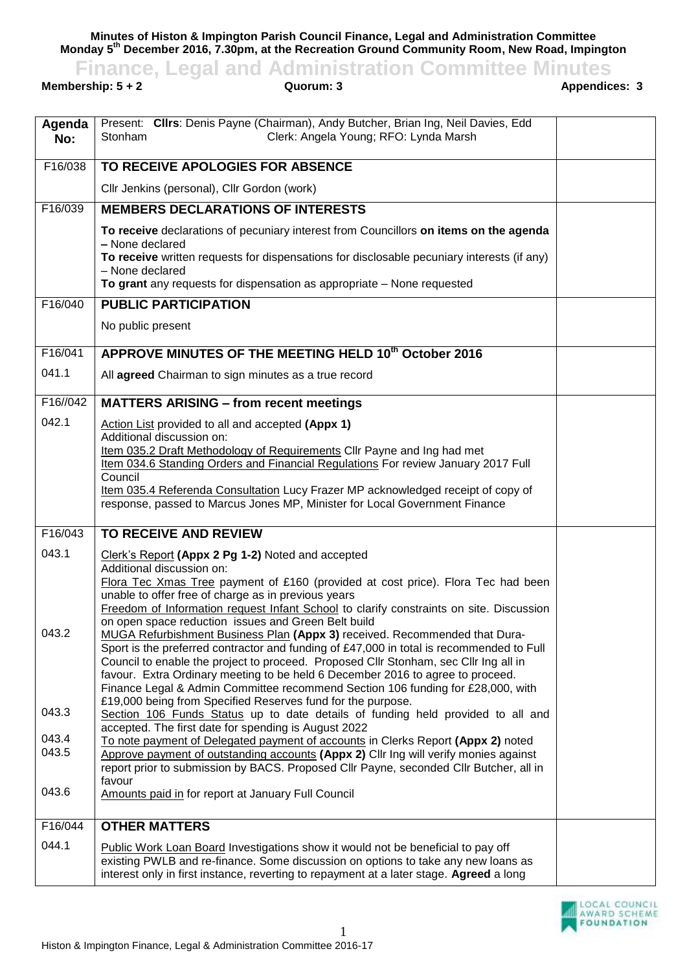**Minutes of Histon & Impington Parish Council Finance, Legal and Administration Committee Monday 5 th December 2016, 7.30pm, at the Recreation Ground Community Room, New Road, Impington**

## **Finance, Legal and Administration Committee Minutes**<br>ership: 5 + 2 Quorum: 3 Appendices: 3

**Membership: 5 + 2** 

| Agenda<br>No:                    | Present: Clirs: Denis Payne (Chairman), Andy Butcher, Brian Ing, Neil Davies, Edd<br>Clerk: Angela Young; RFO: Lynda Marsh<br>Stonham                                                                                                                                                                                                                                                                                                                                                                                                                                                                                                                                                                                                                                                                                                                                                                                                                                                                                                                                                                            |  |
|----------------------------------|------------------------------------------------------------------------------------------------------------------------------------------------------------------------------------------------------------------------------------------------------------------------------------------------------------------------------------------------------------------------------------------------------------------------------------------------------------------------------------------------------------------------------------------------------------------------------------------------------------------------------------------------------------------------------------------------------------------------------------------------------------------------------------------------------------------------------------------------------------------------------------------------------------------------------------------------------------------------------------------------------------------------------------------------------------------------------------------------------------------|--|
| F16/038                          | TO RECEIVE APOLOGIES FOR ABSENCE                                                                                                                                                                                                                                                                                                                                                                                                                                                                                                                                                                                                                                                                                                                                                                                                                                                                                                                                                                                                                                                                                 |  |
|                                  | Cllr Jenkins (personal), Cllr Gordon (work)                                                                                                                                                                                                                                                                                                                                                                                                                                                                                                                                                                                                                                                                                                                                                                                                                                                                                                                                                                                                                                                                      |  |
| F16/039                          | <b>MEMBERS DECLARATIONS OF INTERESTS</b>                                                                                                                                                                                                                                                                                                                                                                                                                                                                                                                                                                                                                                                                                                                                                                                                                                                                                                                                                                                                                                                                         |  |
|                                  | To receive declarations of pecuniary interest from Councillors on items on the agenda<br>- None declared                                                                                                                                                                                                                                                                                                                                                                                                                                                                                                                                                                                                                                                                                                                                                                                                                                                                                                                                                                                                         |  |
|                                  | To receive written requests for dispensations for disclosable pecuniary interests (if any)<br>- None declared                                                                                                                                                                                                                                                                                                                                                                                                                                                                                                                                                                                                                                                                                                                                                                                                                                                                                                                                                                                                    |  |
|                                  | To grant any requests for dispensation as appropriate - None requested                                                                                                                                                                                                                                                                                                                                                                                                                                                                                                                                                                                                                                                                                                                                                                                                                                                                                                                                                                                                                                           |  |
| F16/040                          | <b>PUBLIC PARTICIPATION</b>                                                                                                                                                                                                                                                                                                                                                                                                                                                                                                                                                                                                                                                                                                                                                                                                                                                                                                                                                                                                                                                                                      |  |
|                                  | No public present                                                                                                                                                                                                                                                                                                                                                                                                                                                                                                                                                                                                                                                                                                                                                                                                                                                                                                                                                                                                                                                                                                |  |
| F16/041                          | APPROVE MINUTES OF THE MEETING HELD 10th October 2016                                                                                                                                                                                                                                                                                                                                                                                                                                                                                                                                                                                                                                                                                                                                                                                                                                                                                                                                                                                                                                                            |  |
| 041.1                            | All agreed Chairman to sign minutes as a true record                                                                                                                                                                                                                                                                                                                                                                                                                                                                                                                                                                                                                                                                                                                                                                                                                                                                                                                                                                                                                                                             |  |
| F16//042                         | <b>MATTERS ARISING - from recent meetings</b>                                                                                                                                                                                                                                                                                                                                                                                                                                                                                                                                                                                                                                                                                                                                                                                                                                                                                                                                                                                                                                                                    |  |
| 042.1                            | Action List provided to all and accepted (Appx 1)<br>Additional discussion on:<br>Item 035.2 Draft Methodology of Requirements Cllr Payne and Ing had met<br>Item 034.6 Standing Orders and Financial Regulations For review January 2017 Full<br>Council<br>Item 035.4 Referenda Consultation Lucy Frazer MP acknowledged receipt of copy of<br>response, passed to Marcus Jones MP, Minister for Local Government Finance                                                                                                                                                                                                                                                                                                                                                                                                                                                                                                                                                                                                                                                                                      |  |
| F16/043                          | TO RECEIVE AND REVIEW                                                                                                                                                                                                                                                                                                                                                                                                                                                                                                                                                                                                                                                                                                                                                                                                                                                                                                                                                                                                                                                                                            |  |
| 043.1<br>043.2<br>043.3<br>043.4 | Clerk's Report (Appx 2 Pg 1-2) Noted and accepted<br>Additional discussion on:<br>Flora Tec Xmas Tree payment of £160 (provided at cost price). Flora Tec had been<br>unable to offer free of charge as in previous years<br>Freedom of Information request Infant School to clarify constraints on site. Discussion<br>on open space reduction issues and Green Belt build<br>MUGA Refurbishment Business Plan (Appx 3) received. Recommended that Dura-<br>Sport is the preferred contractor and funding of £47,000 in total is recommended to Full<br>Council to enable the project to proceed. Proposed Cllr Stonham, sec Cllr Ing all in<br>favour. Extra Ordinary meeting to be held 6 December 2016 to agree to proceed.<br>Finance Legal & Admin Committee recommend Section 106 funding for £28,000, with<br>£19,000 being from Specified Reserves fund for the purpose.<br>Section 106 Funds Status up to date details of funding held provided to all and<br>accepted. The first date for spending is August 2022<br>To note payment of Delegated payment of accounts in Clerks Report (Appx 2) noted |  |
| 043.5<br>043.6                   | Approve payment of outstanding accounts (Appx 2) Cllr Ing will verify monies against<br>report prior to submission by BACS. Proposed Cllr Payne, seconded Cllr Butcher, all in<br>favour<br>Amounts paid in for report at January Full Council                                                                                                                                                                                                                                                                                                                                                                                                                                                                                                                                                                                                                                                                                                                                                                                                                                                                   |  |
|                                  |                                                                                                                                                                                                                                                                                                                                                                                                                                                                                                                                                                                                                                                                                                                                                                                                                                                                                                                                                                                                                                                                                                                  |  |
| F16/044                          | <b>OTHER MATTERS</b>                                                                                                                                                                                                                                                                                                                                                                                                                                                                                                                                                                                                                                                                                                                                                                                                                                                                                                                                                                                                                                                                                             |  |
| 044.1                            | Public Work Loan Board Investigations show it would not be beneficial to pay off<br>existing PWLB and re-finance. Some discussion on options to take any new loans as<br>interest only in first instance, reverting to repayment at a later stage. Agreed a long                                                                                                                                                                                                                                                                                                                                                                                                                                                                                                                                                                                                                                                                                                                                                                                                                                                 |  |